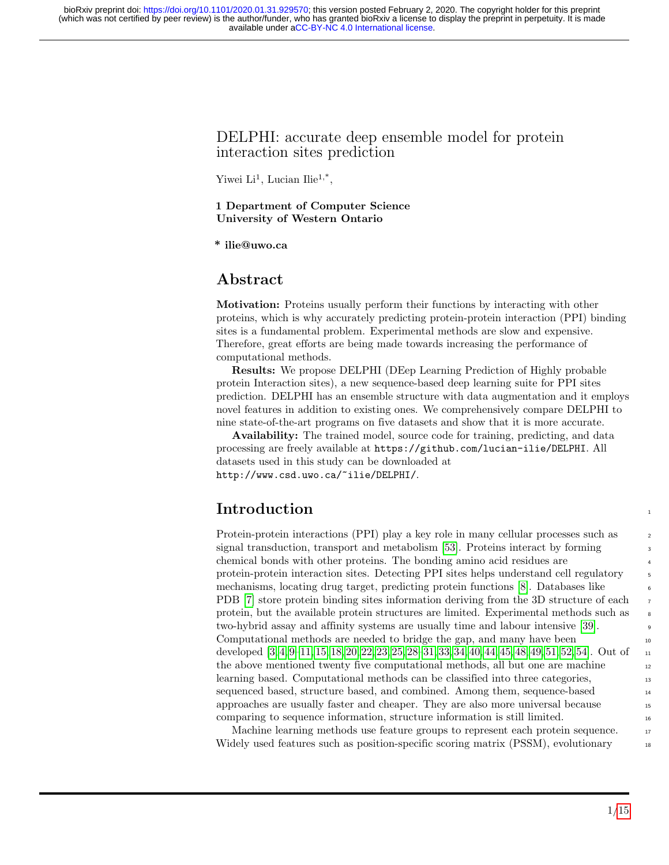## DELPHI: accurate deep ensemble model for protein interaction sites prediction

Yiwei  $Li<sup>1</sup>$ , Lucian Ilie<sup>1,\*</sup>,

#### 1 Department of Computer Science University of Western Ontario

\* ilie@uwo.ca

## Abstract

Motivation: Proteins usually perform their functions by interacting with other proteins, which is why accurately predicting protein-protein interaction (PPI) binding sites is a fundamental problem. Experimental methods are slow and expensive. Therefore, great efforts are being made towards increasing the performance of computational methods.

Results: We propose DELPHI (DEep Learning Prediction of Highly probable protein Interaction sites), a new sequence-based deep learning suite for PPI sites prediction. DELPHI has an ensemble structure with data augmentation and it employs novel features in addition to existing ones. We comprehensively compare DELPHI to nine state-of-the-art programs on five datasets and show that it is more accurate.

Availability: The trained model, source code for training, predicting, and data processing are freely available at https://github.com/lucian-ilie/DELPHI. All datasets used in this study can be downloaded at http://www.csd.uwo.ca/~ilie/DELPHI/.

# **Introduction**

Protein-protein interactions (PPI) play a key role in many cellular processes such as <sup>2</sup> signal transduction, transport and metabolism [\[53\]](#page-14-0). Proteins interact by forming chemical bonds with other proteins. The bonding amino acid residues are <sup>4</sup> protein-protein interaction sites. Detecting PPI sites helps understand cell regulatory 5 mechanisms, locating drug target, predicting protein functions [\[8\]](#page-11-0). Databases like <sup>6</sup> PDB [\[7\]](#page-11-1) store protein binding sites information deriving from the 3D structure of each protein, but the available protein structures are limited. Experimental methods such as two-hybrid assay and affinity systems are usually time and labour intensive [\[39\]](#page-13-0). Computational methods are needed to bridge the gap, and many have been 10 developed  $[3, 4, 9-11, 15, 18, 20, 22, 23, 25, 28-31, 33, 34, 40, 44, 45, 48, 49, 51, 52, 54]$  $[3, 4, 9-11, 15, 18, 20, 22, 23, 25, 28-31, 33, 34, 40, 44, 45, 48, 49, 51, 52, 54]$  $[3, 4, 9-11, 15, 18, 20, 22, 23, 25, 28-31, 33, 34, 40, 44, 45, 48, 49, 51, 52, 54]$  $[3, 4, 9-11, 15, 18, 20, 22, 23, 25, 28-31, 33, 34, 40, 44, 45, 48, 49, 51, 52, 54]$  $[3, 4, 9-11, 15, 18, 20, 22, 23, 25, 28-31, 33, 34, 40, 44, 45, 48, 49, 51, 52, 54]$  $[3, 4, 9-11, 15, 18, 20, 22, 23, 25, 28-31, 33, 34, 40, 44, 45, 48, 49, 51, 52, 54]$  $[3, 4, 9-11, 15, 18, 20, 22, 23, 25, 28-31, 33, 34, 40, 44, 45, 48, 49, 51, 52, 54]$  $[3, 4, 9-11, 15, 18, 20, 22, 23, 25, 28-31, 33, 34, 40, 44, 45, 48, 49, 51, 52, 54]$  $[3, 4, 9-11, 15, 18, 20, 22, 23, 25, 28-31, 33, 34, 40, 44, 45, 48, 49, 51, 52, 54]$  $[3, 4, 9-11, 15, 18, 20, 22, 23, 25, 28-31, 33, 34, 40, 44, 45, 48, 49, 51, 52, 54]$  $[3, 4, 9-11, 15, 18, 20, 22, 23, 25, 28-31, 33, 34, 40, 44, 45, 48, 49, 51, 52, 54]$  $[3, 4, 9-11, 15, 18, 20, 22, 23, 25, 28-31, 33, 34, 40, 44, 45, 48, 49, 51, 52, 54]$  $[3, 4, 9-11, 15, 18, 20, 22, 23, 25, 28-31, 33, 34, 40, 44, 45, 48, 49, 51, 52, 54]$  $[3, 4, 9-11, 15, 18, 20, 22, 23, 25, 28-31, 33, 34, 40, 44, 45, 48, 49, 51, 52, 54]$  $[3, 4, 9-11, 15, 18, 20, 22, 23, 25, 28-31, 33, 34, 40, 44, 45, 48, 49, 51, 52, 54]$  $[3, 4, 9-11, 15, 18, 20, 22, 23, 25, 28-31, 33, 34, 40, 44, 45, 48, 49, 51, 52, 54]$  $[3, 4, 9-11, 15, 18, 20, 22, 23, 25, 28-31, 33, 34, 40, 44, 45, 48, 49, 51, 52, 54]$  $[3, 4, 9-11, 15, 18, 20, 22, 23, 25, 28-31, 33, 34, 40, 44, 45, 48, 49, 51, 52, 54]$  $[3, 4, 9-11, 15, 18, 20, 22, 23, 25, 28-31, 33, 34, 40, 44, 45, 48, 49, 51, 52, 54]$  $[3, 4, 9-11, 15, 18, 20, 22, 23, 25, 28-31, 33, 34, 40, 44, 45, 48, 49, 51, 52, 54]$  $[3, 4, 9-11, 15, 18, 20, 22, 23, 25, 28-31, 33, 34, 40, 44, 45, 48, 49, 51, 52, 54]$  $[3, 4, 9-11, 15, 18, 20, 22, 23, 25, 28-31, 33, 34, 40, 44, 45, 48, 49, 51, 52, 54]$ . Out of  $\Box$ the above mentioned twenty five computational methods, all but one are machine 12 learning based. Computational methods can be classified into three categories, <sup>13</sup> sequenced based, structure based, and combined. Among them, sequence-based 14 approaches are usually faster and cheaper. They are also more universal because <sup>15</sup> comparing to sequence information, structure information is still limited. <sup>16</sup>

Machine learning methods use feature groups to represent each protein sequence. 17 Widely used features such as position-specific scoring matrix (PSSM), evolutionary 18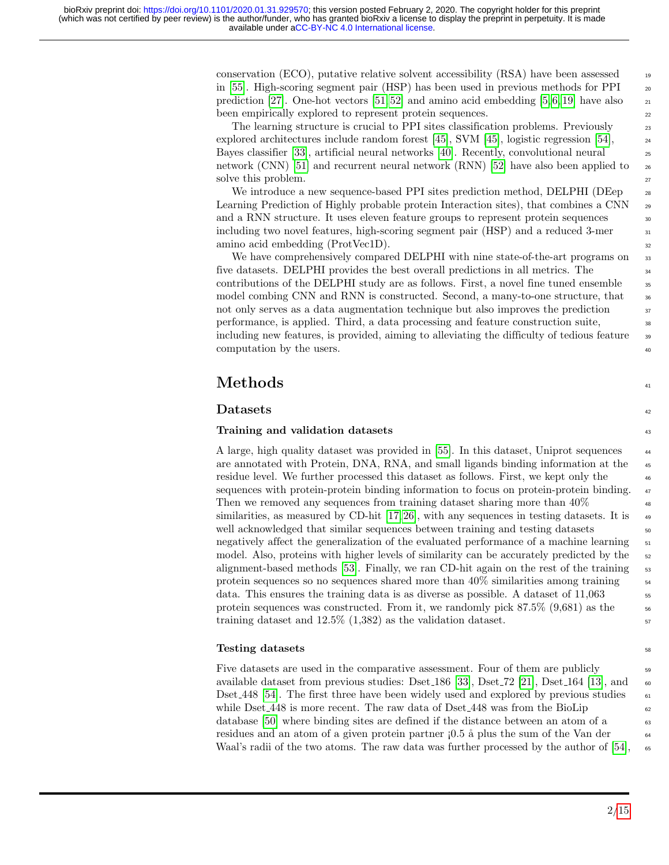conservation (ECO), putative relative solvent accessibility  $(RSA)$  have been assessed  $\frac{1}{2}$ in [\[55\]](#page-14-5). High-scoring segment pair (HSP) has been used in previous methods for  $PPI$   $_{20}$ prediction [\[27\]](#page-12-8). One-hot vectors [\[51,](#page-14-1) [52\]](#page-14-2) and amino acid embedding [\[5,](#page-11-8) [6,](#page-11-9) [19\]](#page-12-9) have also  $_{21}$ been empirically explored to represent protein sequences. 22

The learning structure is crucial to PPI sites classification problems. Previously 23 explored architectures include random forest [\[45\]](#page-13-3), SVM [45], logistic regression [\[54\]](#page-14-3),  $_{24}$ Bayes classifier [\[33\]](#page-12-6), artificial neural networks [\[40\]](#page-13-1). Recently, convolutional neural <sup>25</sup> network (CNN) [\[51\]](#page-14-1) and recurrent neural network (RNN) [\[52\]](#page-14-2) have also been applied to  $_{26}$ solve this problem. 27

We introduce a new sequence-based PPI sites prediction method, DELPHI (DEep  $\frac{28}{28}$ Learning Prediction of Highly probable protein Interaction sites), that combines a  $CNN \approx 29$ and a RNN structure. It uses eleven feature groups to represent protein sequences  $\frac{30}{20}$ including two novel features, high-scoring segment pair  $(HSP)$  and a reduced 3-mer  $\frac{31}{100}$ amino acid embedding (ProtVec1D).

We have comprehensively compared DELPHI with nine state-of-the-art programs on 33 five datasets. DELPHI provides the best overall predictions in all metrics. The <sup>34</sup> contributions of the DELPHI study are as follows. First, a novel fine tuned ensemble  $\frac{35}{10}$ model combing CNN and RNN is constructed. Second, a many-to-one structure, that  $\frac{36}{100}$ not only serves as a data augmentation technique but also improves the prediction  $\frac{37}{20}$ performance, is applied. Third, a data processing and feature construction suite, <sup>38</sup> including new features, is provided, aiming to alleviating the difficulty of tedious feature <sup>39</sup> computation by the users.  $\frac{40}{20}$ 

# $\mathbf{Methods}$  and the set of  $\mathbf{41}$

### $\mathbf{D}\text{at }$

### Training and validation datasets 43

A large, high quality dataset was provided in [\[55\]](#page-14-5). In this dataset, Uniprot sequences <sup>44</sup> are annotated with Protein, DNA, RNA, and small ligands binding information at the <sup>45</sup> residue level. We further processed this dataset as follows. First, we kept only the <sup>46</sup> sequences with protein-protein binding information to focus on protein-protein binding.  $_{47}$ Then we removed any sequences from training dataset sharing more than  $40\%$ similarities, as measured by CD-hit  $[17, 26]$  $[17, 26]$ , with any sequences in testing datasets. It is well acknowledged that similar sequences between training and testing datasets  $\frac{50}{2}$ negatively affect the generalization of the evaluated performance of a machine learning  $\frac{51}{10}$ model. Also, proteins with higher levels of similarity can be accurately predicted by the  $\frac{52}{2}$ alignment-based methods [\[53\]](#page-14-0). Finally, we ran CD-hit again on the rest of the training  $\frac{53}{10}$ . protein sequences so no sequences shared more than  $40\%$  similarities among training  $\frac{54}{54}$ data. This ensures the training data is as diverse as possible. A dataset of  $11,063$   $\qquad$  55 protein sequences was constructed. From it, we randomly pick  $87.5\%$   $(9.681)$  as the  $56$ training dataset and  $12.5\%$   $(1,382)$  as the validation dataset.

### $\sum_{s}$  and  $\sum_{s}$  and  $\sum_{s}$  and  $\sum_{s}$  and  $\sum_{s}$  and  $\sum_{s}$  and  $\sum_{s}$  and  $\sum_{s}$  and  $\sum_{s}$  and  $\sum_{s}$  and  $\sum_{s}$  and  $\sum_{s}$  and  $\sum_{s}$  and  $\sum_{s}$  and  $\sum_{s}$  and  $\sum_{s}$  and  $\sum_{s}$  and  $\sum_{s}$  and  $\sum_{s$

Five datasets are used in the comparative assessment. Four of them are publicly  $\frac{59}{59}$ available dataset from previous studies: Dset 186 [\[33\]](#page-12-6), Dset 72 [\[21\]](#page-12-11), Dset 164 [\[13\]](#page-11-11), and  $\sim$ Dset 448 [\[54\]](#page-14-3). The first three have been widely used and explored by previous studies  $\frac{61}{61}$ while Dset 448 is more recent. The raw data of Dset 448 was from the BioLip database [\[50\]](#page-14-6) where binding sites are defined if the distance between an atom of a 63 residues and an atom of a given protein partner  $(0.5 \text{ \AA}$  plus the sum of the Van der  $64$ Waal's radii of the two atoms. The raw data was further processed by the author of  $[54]$ , 65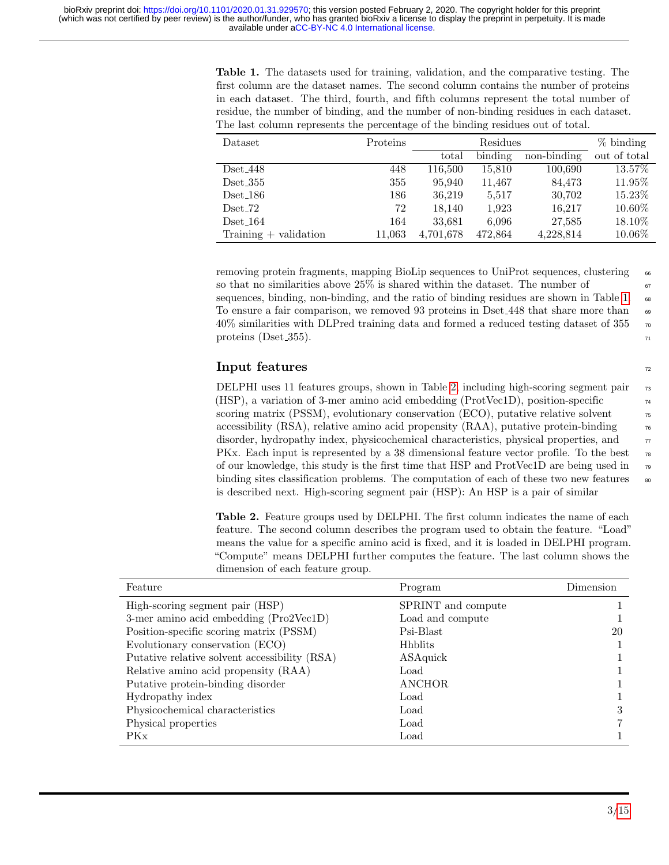<span id="page-2-0"></span>Table 1. The datasets used for training, validation, and the comparative testing. The first column are the dataset names. The second column contains the number of proteins in each dataset. The third, fourth, and fifth columns represent the total number of residue, the number of binding, and the number of non-binding residues in each dataset. The last column represents the percentage of the binding residues out of total.

| Dataset                 | Proteins |           | $%$ binding |             |              |
|-------------------------|----------|-----------|-------------|-------------|--------------|
|                         |          | total     | binding     | non-binding | out of total |
| $Dset_448$              | 448      | 116.500   | 15,810      | 100,690     | 13.57%       |
| $Dset_355$              | 355      | 95,940    | 11,467      | 84,473      | 11.95\%      |
| $Dset_186$              | 186      | 36.219    | 5,517       | 30,702      | 15.23%       |
| $Dset_72$               | 72       | 18.140    | 1,923       | 16,217      | $10.60\%$    |
| $Dset_164$              | 164      | 33.681    | 6,096       | 27,585      | 18.10\%      |
| Training $+$ validation | 11,063   | 4,701,678 | 472,864     | 4,228,814   | 10.06%       |

removing protein fragments, mapping BioLip sequences to UniProt sequences, clustering 66 so that no similarities above  $25\%$  is shared within the dataset. The number of  $\frac{67}{67}$ sequences, binding, non-binding, and the ratio of binding residues are shown in Table [1.](#page-2-0) To ensure a fair comparison, we removed 93 proteins in Dset 448 that share more than 69  $40\%$  similarities with DLPred training data and formed a reduced testing dataset of 355  $\pi$ proteins (Dset  $355$ ).

### $\mathbf{Input\text{ features}}$  72

DELPHI uses 11 features groups, shown in Table [2,](#page-2-1) including high-scoring segment pair  $\frac{73}{2}$ (HSP), a variation of 3-mer amino acid embedding (ProtVec1D), position-specific  $\frac{74}{74}$ scoring matrix (PSSM), evolutionary conservation (ECO), putative relative solvent  $\frac{75}{15}$ accessibility (RSA), relative amino acid propensity  $(RAA)$ , putative protein-binding  $\sigma$ disorder, hydropathy index, physicochemical characteristics, physical properties, and  $\eta$ PKx. Each input is represented by a 38 dimensional feature vector profile. To the best  $\pi$ of our knowledge, this study is the first time that HSP and ProtVec1D are being used in  $\eta$ binding sites classification problems. The computation of each of these two new features  $\frac{80}{100}$ is described next. High-scoring segment pair (HSP): An HSP is a pair of similar

<span id="page-2-1"></span>Table 2. Feature groups used by DELPHI. The first column indicates the name of each feature. The second column describes the program used to obtain the feature. "Load" means the value for a specific amino acid is fixed, and it is loaded in DELPHI program. "Compute" means DELPHI further computes the feature. The last column shows the dimension of each feature group.

| Feature                                       | Program            | Dimension |
|-----------------------------------------------|--------------------|-----------|
| High-scoring segment pair (HSP)               | SPRINT and compute |           |
| 3-mer amino acid embedding (Pro2Vec1D)        | Load and compute   |           |
| Position-specific scoring matrix (PSSM)       | Psi-Blast          | 20        |
| Evolutionary conservation (ECO)               | <b>Hhblits</b>     |           |
| Putative relative solvent accessibility (RSA) | ASAquick           |           |
| Relative amino acid propensity (RAA)          | Load               |           |
| Putative protein-binding disorder             | <b>ANCHOR</b>      |           |
| Hydropathy index                              | Load               |           |
| Physicochemical characteristics               | Load               | 3         |
| Physical properties                           | Load               |           |
| PKx                                           | Load               |           |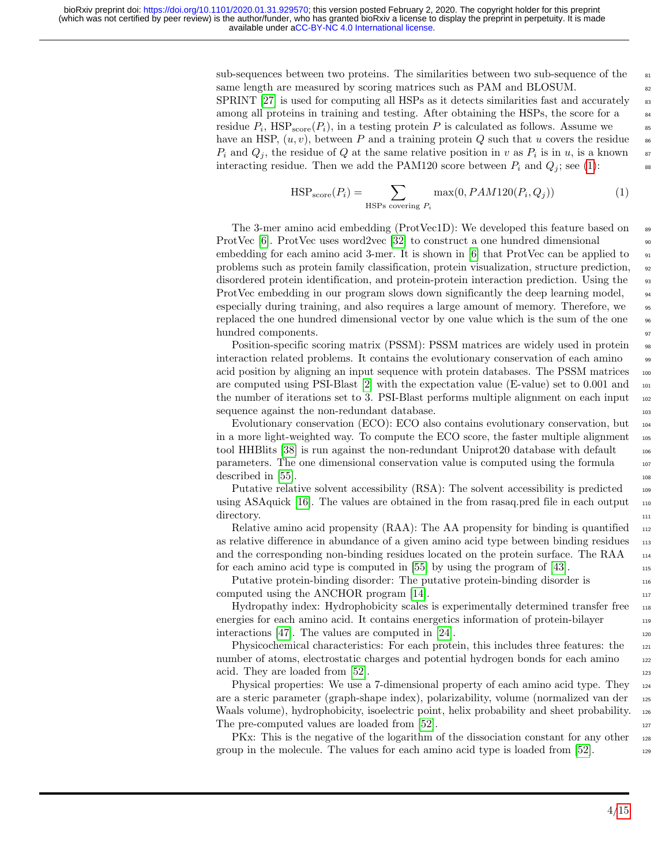sub-sequences between two proteins. The similarities between two sub-sequence of the  $\frac{81}{100}$ same length are measured by scoring matrices such as PAM and BLOSUM. SPRINT  $[27]$  is used for computing all HSPs as it detects similarities fast and accurately  $\frac{83}{10}$ among all proteins in training and testing. After obtaining the HSPs, the score for a residue  $P_i$ ,  $\text{HSP}_{\text{score}}(P_i)$ , in a testing protein P is calculated as follows. Assume we ss have an HSP,  $(u, v)$ , between P and a training protein Q such that u covers the residue  $P_i$  and  $Q_j$ , the residue of Q at the same relative position in v as  $P_i$  is in u, is a known  $\frac{1}{2}$ interacting residue. Then we add the PAM120 score between  $P_i$  and  $Q_j$ ; see [\(1\)](#page-3-0):

<span id="page-3-0"></span>
$$
HSP_{score}(P_i) = \sum_{HSPs \text{ covering } P_i} \max(0, PAM120(P_i, Q_j))
$$
 (1)

The 3-mer amino acid embedding (ProtVec1D): We developed this feature based on  $\bullet$ ProtVec [\[6\]](#page-11-9). ProtVec uses word2vec [\[32\]](#page-12-12) to construct a one hundred dimensional  $\frac{90}{90}$ embedding for each amino acid 3-mer. It is shown in [\[6\]](#page-11-9) that ProtVec can be applied to  $_{91}$ problems such as protein family classification, protein visualization, structure prediction, <sub>92</sub> disordered protein identification, and protein-protein interaction prediction. Using the <sup>93</sup> ProtVec embedding in our program slows down significantly the deep learning model,  $_{94}$ especially during training, and also requires a large amount of memory. Therefore, we  $\frac{95}{2}$ replaced the one hundred dimensional vector by one value which is the sum of the one  $\frac{96}{96}$ hundred components.  $\frac{97}{200}$ 

Position-specific scoring matrix (PSSM): PSSM matrices are widely used in protein  $\frac{98}{98}$ interaction related problems. It contains the evolutionary conservation of each amino 99 acid position by aligning an input sequence with protein databases. The PSSM matrices  $_{100}$ are computed using PSI-Blast [\[2\]](#page-10-0) with the expectation value (E-value) set to 0.001 and 101 the number of iterations set to 3. PSI-Blast performs multiple alignment on each input  $_{102}$ sequence against the non-redundant database. 103

Evolutionary conservation (ECO): ECO also contains evolutionary conservation, but <sup>104</sup> in a more light-weighted way. To compute the ECO score, the faster multiple alignment  $_{105}$ tool HHBlits [\[38\]](#page-13-6) is run against the non-redundant Uniprot20 database with default  $\frac{1}{106}$ parameters. The one dimensional conservation value is computed using the formula 107  $\frac{1}{108}$  described in [\[55\]](#page-14-5).

Putative relative solvent accessibility (RSA): The solvent accessibility is predicted  $_{109}$ using ASAquick  $[16]$ . The values are obtained in the from rasaq.pred file in each output  $\frac{110}{110}$ directory. The contract of the contract of the contract of the contract of the contract of the contract of the contract of the contract of the contract of the contract of the contract of the contract of the contract of the

Relative amino acid propensity  $(RAA)$ : The AA propensity for binding is quantified  $\frac{112}{2}$ as relative difference in abundance of a given amino acid type between binding residues 113 and the corresponding non-binding residues located on the protein surface. The RAA  $_{114}$ for each amino acid type is computed in  $[55]$  by using the program of  $[43]$ .

Putative protein-binding disorder: The putative protein-binding disorder is 116 computed using the ANCHOR program  $[14]$ .

Hydropathy index: Hydrophobicity scales is experimentally determined transfer free 118 energies for each amino acid. It contains energetics information of protein-bilayer interactions [\[47\]](#page-13-8). The values are computed in [\[24\]](#page-12-13).

Physicochemical characteristics: For each protein, this includes three features: the 121 number of atoms, electrostatic charges and potential hydrogen bonds for each amino 122 acid. They are loaded from  $[52]$ .

Physical properties: We use a 7-dimensional property of each amino acid type. They <sup>124</sup> are a steric parameter (graph-shape index), polarizability, volume (normalized van der <sup>125</sup> Waals volume), hydrophobicity, isoelectric point, helix probability and sheet probability. 126 The pre-computed values are loaded from  $[52]$ .

PKx: This is the negative of the logarithm of the dissociation constant for any other 128 group in the molecule. The values for each amino acid type is loaded from [\[52\]](#page-14-2). <sup>129</sup>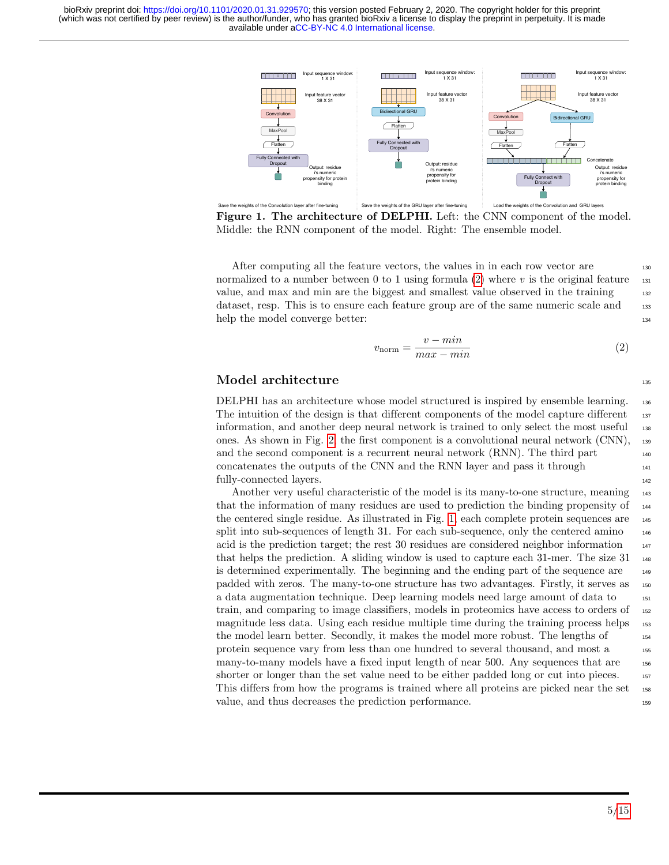available under [aCC-BY-NC 4.0 International license.](http://creativecommons.org/licenses/by-nc/4.0/) (which was not certified by peer review) is the author/funder, who has granted bioRxiv a license to display the preprint in perpetuity. It is made bioRxiv preprint doi: [https://doi.org/10.1101/2020.01.31.929570;](https://doi.org/10.1101/2020.01.31.929570) this version posted February 2, 2020. The copyright holder for this preprint

<span id="page-4-1"></span>

Figure 1. The architecture of DELPHI. Left: the CNN component of the model. Middle: the RNN component of the model. Right: The ensemble model.

After computing all the feature vectors, the values in in each row vector are 130 normalized to a number between 0 to 1 using formula [\(2\)](#page-4-0) where v is the original feature  $\frac{131}{131}$ value, and max and min are the biggest and smallest value observed in the training 132 dataset, resp. This is to ensure each feature group are of the same numeric scale and 133 help the model converge better: 134

<span id="page-4-0"></span>
$$
v_{\text{norm}} = \frac{v - \min}{\max - \min} \tag{2}
$$

#### $\bf{Model\,\, architecture} \color{black} \color{black}$

DELPHI has an architecture whose model structured is inspired by ensemble learning. <sup>136</sup> The intuition of the design is that different components of the model capture different 137 information, and another deep neural network is trained to only select the most useful <sup>138</sup> ones. As shown in Fig. [2,](#page-5-0) the first component is a convolutional neural network (CNN), <sup>139</sup> and the second component is a recurrent neural network (RNN). The third part concatenates the outputs of the CNN and the RNN layer and pass it through <sup>141</sup> fully-connected layers. 142

Another very useful characteristic of the model is its many-to-one structure, meaning  $_{143}$ that the information of many residues are used to prediction the binding propensity of <sup>144</sup> the centered single residue. As illustrated in Fig. [1,](#page-4-1) each complete protein sequences are <sup>145</sup> split into sub-sequences of length 31. For each sub-sequence, only the centered amino  $_{146}$ acid is the prediction target; the rest 30 residues are considered neighbor information  $_{147}$ that helps the prediction. A sliding window is used to capture each 31-mer. The size 31  $_{148}$ is determined experimentally. The beginning and the ending part of the sequence are <sup>149</sup> padded with zeros. The many-to-one structure has two advantages. Firstly, it serves as <sup>150</sup> a data augmentation technique. Deep learning models need large amount of data to <sup>151</sup> train, and comparing to image classifiers, models in proteomics have access to orders of <sup>152</sup> magnitude less data. Using each residue multiple time during the training process helps 153 the model learn better. Secondly, it makes the model more robust. The lengths of  $_{154}$ protein sequence vary from less than one hundred to several thousand, and most a 155 many-to-many models have a fixed input length of near 500. Any sequences that are <sup>156</sup> shorter or longer than the set value need to be either padded long or cut into pieces. 157 This differs from how the programs is trained where all proteins are picked near the set 158 value, and thus decreases the prediction performance. <sup>159</sup>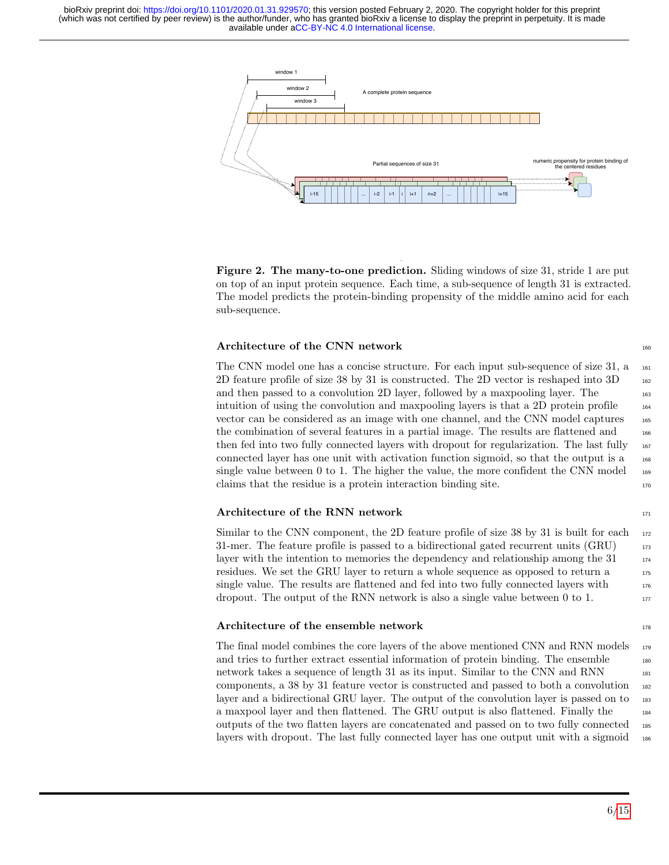available under [aCC-BY-NC 4.0 International license.](http://creativecommons.org/licenses/by-nc/4.0/) (which was not certified by peer review) is the author/funder, who has granted bioRxiv a license to display the preprint in perpetuity. It is made bioRxiv preprint doi: [https://doi.org/10.1101/2020.01.31.929570;](https://doi.org/10.1101/2020.01.31.929570) this version posted February 2, 2020. The copyright holder for this preprint

<span id="page-5-0"></span>

Figure 2. The many-to-one prediction. Sliding windows of size 31, stride 1 are put on top of an input protein sequence. Each time, a sub-sequence of length 31 is extracted. The model predicts the protein-binding propensity of the middle amino acid for each sub-sequence.

#### Architecture of the CNN network 160

The CNN model one has a concise structure. For each input sub-sequence of size  $31$ , a  $_{161}$ 2D feature profile of size 38 by 31 is constructed. The 2D vector is reshaped into 3D <sup>162</sup> and then passed to a convolution 2D layer, followed by a maxpooling layer. The 163 intuition of using the convolution and maxpooling layers is that a 2D protein profile  $_{164}$ vector can be considered as an image with one channel, and the CNN model captures <sup>165</sup> the combination of several features in a partial image. The results are flattened and  $_{166}$ then fed into two fully connected layers with dropout for regularization. The last fully  $_{167}$ connected layer has one unit with activation function sigmoid, so that the output is a <sup>168</sup> single value between 0 to 1. The higher the value, the more confident the CNN model  $_{169}$  $\alpha$  claims that the residue is a protein interaction binding site.

#### Architecture of the RNN network 171

Similar to the CNN component, the 2D feature profile of size 38 by 31 is built for each  $172$ 31-mer. The feature profile is passed to a bidirectional gated recurrent units (GRU)  $_{173}$ layer with the intention to memories the dependency and relationship among the 31  $174$ residues. We set the GRU layer to return a whole sequence as opposed to return a 175 single value. The results are flattened and fed into two fully connected layers with  $176$ dropout. The output of the RNN network is also a single value between  $0$  to  $1$ .

#### Architecture of the ensemble network 178

The final model combines the core layers of the above mentioned CNN and RNN models  $_{179}$ and tries to further extract essential information of protein binding. The ensemble  $_{180}$ network takes a sequence of length 31 as its input. Similar to the CNN and RNN 181 components, a 38 by 31 feature vector is constructed and passed to both a convolution <sup>182</sup> layer and a bidirectional GRU layer. The output of the convolution layer is passed on to 183 a maxpool layer and then flattened. The GRU output is also flattened. Finally the <sup>184</sup> outputs of the two flatten layers are concatenated and passed on to two fully connected 185 layers with dropout. The last fully connected layer has one output unit with a sigmoid <sup>186</sup>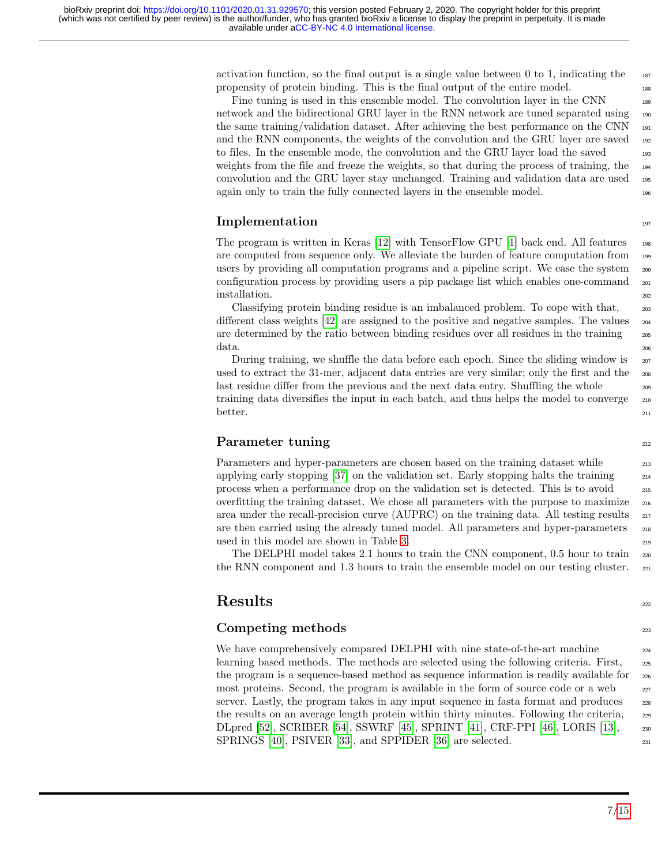activation function, so the final output is a single value between 0 to 1, indicating the  $_{187}$ propensity of protein binding. This is the final output of the entire model. <sup>188</sup>

Fine tuning is used in this ensemble model. The convolution layer in the CNN 189 network and the bidirectional GRU layer in the RNN network are tuned separated using <sup>190</sup> the same training/validation dataset. After achieving the best performance on the CNN  $_{191}$ and the RNN components, the weights of the convolution and the GRU layer are saved 192 to files. In the ensemble mode, the convolution and the GRU layer load the saved weights from the file and freeze the weights, so that during the process of training, the 194 convolution and the GRU layer stay unchanged. Training and validation data are used <sup>195</sup> again only to train the fully connected layers in the ensemble model.

### Implementation and the set of the set of the set of the set of the set of the set of the set of the set of the set of the set of the set of the set of the set of the set of the set of the set of the set of the set of the s

The program is written in Keras [\[12\]](#page-11-14) with TensorFlow GPU [\[1\]](#page-10-1) back end. All features  $_{198}$ are computed from sequence only. We alleviate the burden of feature computation from 199 users by providing all computation programs and a pipeline script. We ease the system  $_{200}$ configuration process by providing users a pip package list which enables one-command  $_{201}$ installation. 2022

Classifying protein binding residue is an imbalanced problem. To cope with that, <sup>203</sup> different class weights  $[42]$  are assigned to the positive and negative samples. The values  $\frac{204}{204}$ are determined by the ratio between binding residues over all residues in the training  $_{205}$  $data.$ 

During training, we shuffle the data before each epoch. Since the sliding window is  $_{207}$ used to extract the 31-mer, adjacent data entries are very similar; only the first and the 208 last residue differ from the previous and the next data entry. Shuffling the whole  $_{209}$ training data diversifies the input in each batch, and thus helps the model to converge  $_{210}$ better.  $211$ 

## Parameter tuning 212

Parameters and hyper-parameters are chosen based on the training dataset while 213 applying early stopping  $[37]$  on the validation set. Early stopping halts the training  $\qquad 214$ process when a performance drop on the validation set is detected. This is to avoid <sup>215</sup> overfitting the training dataset. We chose all parameters with the purpose to maximize <sup>216</sup> area under the recall-precision curve  $(AUPRC)$  on the training data. All testing results  $_{217}$ are then carried using the already tuned model. All parameters and hyper-parameters  $\frac{218}{218}$ used in this model are shown in Table [3.](#page-7-0)  $219$ 

The DELPHI model takes 2.1 hours to train the CNN component, 0.5 hour to train  $_{220}$ the RNN component and 1.3 hours to train the ensemble model on our testing cluster.  $_{221}$ 

## $\textbf{Results}$  222

## Competing methods 223

We have comprehensively compared DELPHI with nine state-of-the-art machine 224 learning based methods. The methods are selected using the following criteria. First, <sup>225</sup> the program is a sequence-based method as sequence information is readily available for  $_{226}$ most proteins. Second, the program is available in the form of source code or a web server. Lastly, the program takes in any input sequence in fasta format and produces 228 the results on an average length protein within thirty minutes. Following the criteria, <sup>229</sup> DLpred [\[52\]](#page-14-2), SCRIBER [\[54\]](#page-14-3), SSWRF [\[45\]](#page-13-3), SPRINT [\[41\]](#page-13-11), CRF-PPI [\[46\]](#page-13-12), LORIS [\[13\]](#page-11-11), <sup>230</sup> SPRINGS [\[40\]](#page-13-1), PSIVER [\[33\]](#page-12-6), and SPPIDER [\[36\]](#page-13-13) are selected. 231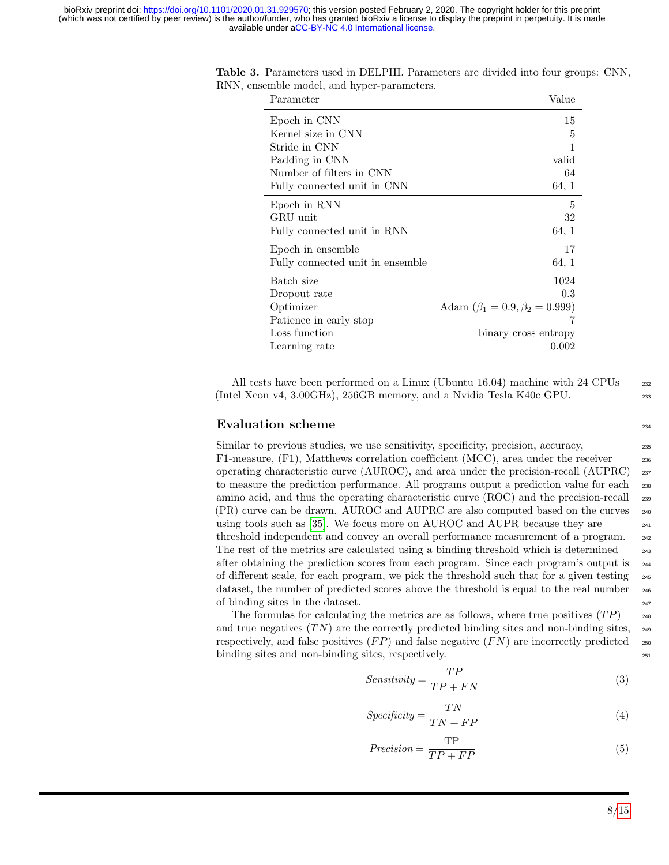| Parameter                        | Value                                   |
|----------------------------------|-----------------------------------------|
| Epoch in CNN                     | 15                                      |
| Kernel size in CNN               | 5                                       |
| Stride in CNN                    | 1                                       |
| Padding in CNN                   | valid                                   |
| Number of filters in CNN         | 64                                      |
| Fully connected unit in CNN      | 64, 1                                   |
| Epoch in RNN                     | 5                                       |
| GRU unit                         | 32                                      |
| Fully connected unit in RNN      | 64, 1                                   |
| Epoch in ensemble                | 17                                      |
| Fully connected unit in ensemble | 64, 1                                   |
| Batch size                       | 1024                                    |
| Dropout rate                     | 0.3                                     |
| Optimizer                        | Adam $(\beta_1 = 0.9, \beta_2 = 0.999)$ |
| Patience in early stop           |                                         |
| Loss function                    | binary cross entropy                    |
| Learning rate                    | 0.002                                   |

<span id="page-7-0"></span>Table 3. Parameters used in DELPHI. Parameters are divided into four groups: CNN, RNN, ensemble model, and hyper-parameters.

All tests have been performed on a Linux (Ubuntu 16.04) machine with 24 CPUs  $_{232}$ (Intel Xeon v4, 3.00GHz), 256GB memory, and a Nvidia Tesla K40c GPU. <sup>233</sup>

### Evaluation scheme 234

Similar to previous studies, we use sensitivity, specificity, precision, accuracy, F1-measure,  $(F1)$ , Matthews correlation coefficient  $(MCC)$ , area under the receiver operating characteristic curve (AUROC), and area under the precision-recall (AUPRC) <sup>237</sup> to measure the prediction performance. All programs output a prediction value for each <sup>238</sup> amino acid, and thus the operating characteristic curve (ROC) and the precision-recall <sup>239</sup> (PR) curve can be drawn. AUROC and AUPRC are also computed based on the curves <sup>240</sup> using tools such as  $[35]$ . We focus more on AUROC and AUPR because they are  $\frac{241}{241}$ threshold independent and convey an overall performance measurement of a program. <sup>242</sup> The rest of the metrics are calculated using a binding threshold which is determined  $_{243}$ after obtaining the prediction scores from each program. Since each program's output is <sup>244</sup> of different scale, for each program, we pick the threshold such that for a given testing <sup>245</sup> dataset, the number of predicted scores above the threshold is equal to the real number <sup>246</sup> of binding sites in the dataset.  $247$ 

The formulas for calculating the metrics are as follows, where true positives  $(TP)$  248 and true negatives  $(TN)$  are the correctly predicted binding sites and non-binding sites,  $\frac{249}{T}$ respectively, and false positives  $(FP)$  and false negative  $(FN)$  are incorrectly predicted 250 binding sites and non-binding sites, respectively.

$$
Sensitivity = \frac{TP}{TP + FN}
$$
 (3)

$$
Specificity = \frac{TN}{TN + FP}
$$
\n<sup>(4)</sup>

$$
Precision = \frac{TP}{TP + FP}
$$
\n<sup>(5)</sup>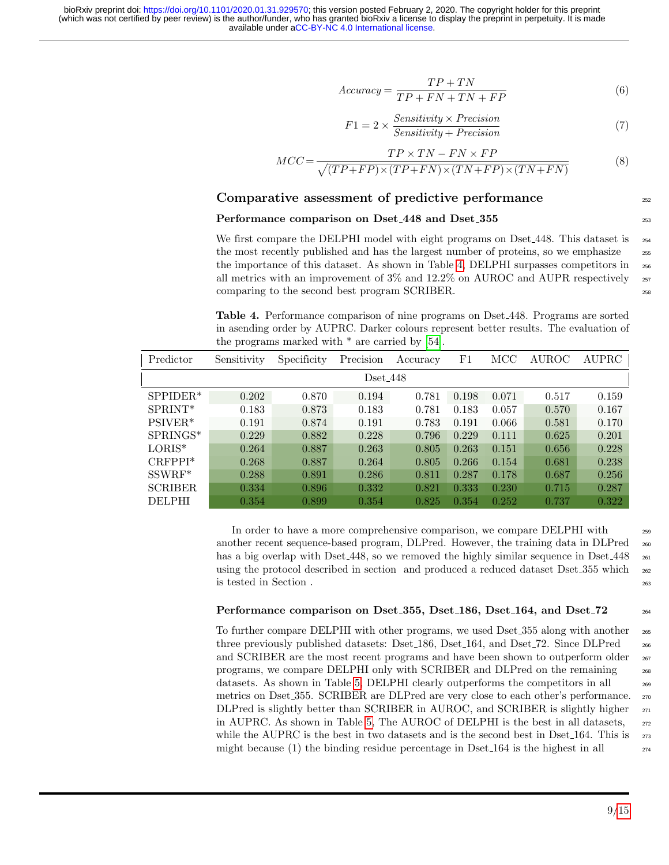available under [aCC-BY-NC 4.0 International license.](http://creativecommons.org/licenses/by-nc/4.0/) (which was not certified by peer review) is the author/funder, who has granted bioRxiv a license to display the preprint in perpetuity. It is made bioRxiv preprint doi: [https://doi.org/10.1101/2020.01.31.929570;](https://doi.org/10.1101/2020.01.31.929570) this version posted February 2, 2020. The copyright holder for this preprint

$$
Accuracy = \frac{TP + TN}{TP + FN + TN + FP}
$$
\n<sup>(6)</sup>

$$
F1 = 2 \times \frac{Sensitivity \times Precision}{Sensitivity + Precision}
$$
 (7)

$$
MCC = \frac{TP \times TN - FN \times FP}{\sqrt{(TP + FP) \times (TP + FN) \times (TN + FP) \times (TN + FN)}}
$$
(8)

### Comparative assessment of predictive performance 252

#### Performance comparison on Dset 448 and Dset 355

We first compare the DELPHI model with eight programs on Dset 448. This dataset is  $_{254}$ the most recently published and has the largest number of proteins, so we emphasize  $\frac{255}{255}$ the importance of this dataset. As shown in Table [4,](#page-8-0) DELPHI surpasses competitors in <sup>256</sup> all metrics with an improvement of  $3\%$  and  $12.2\%$  on AUROC and AUPR respectively  $_{257}$ comparing to the second best program SCRIBER.

<span id="page-8-0"></span>Table 4. Performance comparison of nine programs on Dset 448. Programs are sorted in asending order by AUPRC. Darker colours represent better results. The evaluation of the programs marked with  $*$  are carried by [\[54\]](#page-14-3).

| Predictor      | Sensitivity | Specificity | Precision | Accuracy | $_{\rm F1}$ | MCC   | AUROC | <b>AUPRC</b> |
|----------------|-------------|-------------|-----------|----------|-------------|-------|-------|--------------|
| $Dset_448$     |             |             |           |          |             |       |       |              |
| $SPPIDER*$     | 0.202       | 0.870       | 0.194     | 0.781    | 0.198       | 0.071 | 0.517 | 0.159        |
| $SPRINT*$      | 0.183       | 0.873       | 0.183     | 0.781    | 0.183       | 0.057 | 0.570 | 0.167        |
| $PSIVER*$      | 0.191       | 0.874       | 0.191     | 0.783    | 0.191       | 0.066 | 0.581 | 0.170        |
| SPRINGS*       | 0.229       | 0.882       | 0.228     | 0.796    | 0.229       | 0.111 | 0.625 | 0.201        |
| $LORIS^*$      | 0.264       | 0.887       | 0.263     | 0.805    | 0.263       | 0.151 | 0.656 | 0.228        |
| $CRFPPI*$      | 0.268       | 0.887       | 0.264     | 0.805    | 0.266       | 0.154 | 0.681 | 0.238        |
| $SSWRF^*$      | 0.288       | 0.891       | 0.286     | 0.811    | 0.287       | 0.178 | 0.687 | 0.256        |
| <b>SCRIBER</b> | 0.334       | 0.896       | 0.332     | 0.821    | 0.333       | 0.230 | 0.715 | 0.287        |
| <b>DELPHI</b>  | 0.354       | 0.899       | 0.354     | 0.825    | 0.354       | 0.252 | 0.737 | 0.322        |

In order to have a more comprehensive comparison, we compare DELPHI with <sup>259</sup> another recent sequence-based program, DLPred. However, the training data in DLPred <sup>260</sup> has a big overlap with Dset 448, so we removed the highly similar sequence in Dset 448  $_{261}$ using the protocol described in section and produced a reduced dataset Dset<sub>-355</sub> which <sub>262</sub> is tested in Section . <sup>263</sup>

#### Performance comparison on Dset 355, Dset 186, Dset 164, and Dset 72  $_{264}$

To further compare DELPHI with other programs, we used Dset 255 along with another <sub>265</sub> three previously published datasets: Dset 186, Dset 164, and Dset 72. Since DLPred  $_{266}$ and SCRIBER are the most recent programs and have been shown to outperform older  $_{267}$ programs, we compare DELPHI only with SCRIBER and DLPred on the remaining <sup>268</sup> datasets. As shown in Table [5,](#page-9-0) DELPHI clearly outperforms the competitors in all  $_{269}$ metrics on Dset 355. SCRIBER are DLPred are very close to each other's performance. <sup>270</sup> DLPred is slightly better than SCRIBER in AUROC, and SCRIBER is slightly higher  $_{271}$ in AUPRC. As shown in Table [5,](#page-9-0) The AUROC of DELPHI is the best in all datasets,  $_{272}$ while the AUPRC is the best in two datasets and is the second best in Dset  $164$ . This is  $_{273}$ might because (1) the binding residue percentage in Dset  $164$  is the highest in all  $_{274}$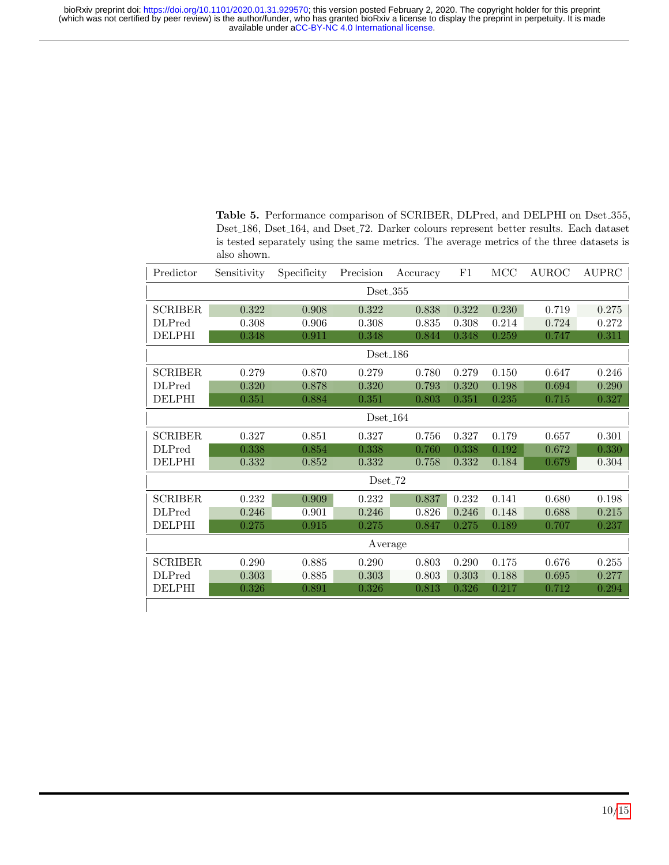<span id="page-9-0"></span>Table 5. Performance comparison of SCRIBER, DLPred, and DELPHI on Dset 355, Dset 186, Dset 164, and Dset 72. Darker colours represent better results. Each dataset is tested separately using the same metrics. The average metrics of the three datasets is also shown.

| Predictor      | Sensitivity | Specificity | Precision | Accuracy | F1    | MCC   | <b>AUROC</b> | $\operatorname{AUPRC}$ |
|----------------|-------------|-------------|-----------|----------|-------|-------|--------------|------------------------|
| $Dset_355$     |             |             |           |          |       |       |              |                        |
| <b>SCRIBER</b> | 0.322       | 0.908       | 0.322     | 0.838    | 0.322 | 0.230 | 0.719        | 0.275                  |
| <b>DLPred</b>  | 0.308       | 0.906       | 0.308     | 0.835    | 0.308 | 0.214 | 0.724        | 0.272                  |
| <b>DELPHI</b>  | 0.348       | 0.911       | 0.348     | 0.844    | 0.348 | 0.259 | 0.747        | 0.311                  |
| $Dset_186$     |             |             |           |          |       |       |              |                        |
| <b>SCRIBER</b> | 0.279       | 0.870       | 0.279     | 0.780    | 0.279 | 0.150 | 0.647        | 0.246                  |
| <b>DLPred</b>  | 0.320       | 0.878       | 0.320     | 0.793    | 0.320 | 0.198 | 0.694        | 0.290                  |
| <b>DELPHI</b>  | 0.351       | 0.884       | 0.351     | 0.803    | 0.351 | 0.235 | 0.715        | 0.327                  |
| Dset $164$     |             |             |           |          |       |       |              |                        |
| <b>SCRIBER</b> | 0.327       | 0.851       | 0.327     | 0.756    | 0.327 | 0.179 | 0.657        | 0.301                  |
| <b>DLPred</b>  | 0.338       | 0.854       | 0.338     | 0.760    | 0.338 | 0.192 | 0.672        | 0.330                  |
| <b>DELPHI</b>  | 0.332       | 0.852       | 0.332     | 0.758    | 0.332 | 0.184 | 0.679        | 0.304                  |
| $Dset_72$      |             |             |           |          |       |       |              |                        |
| <b>SCRIBER</b> | 0.232       | 0.909       | 0.232     | 0.837    | 0.232 | 0.141 | 0.680        | 0.198                  |
| <b>DLPred</b>  | 0.246       | 0.901       | 0.246     | 0.826    | 0.246 | 0.148 | 0.688        | 0.215                  |
| <b>DELPHI</b>  | 0.275       | 0.915       | 0.275     | 0.847    | 0.275 | 0.189 | 0.707        | 0.237                  |
| Average        |             |             |           |          |       |       |              |                        |
| <b>SCRIBER</b> | 0.290       | 0.885       | 0.290     | 0.803    | 0.290 | 0.175 | 0.676        | 0.255                  |
| <b>DLPred</b>  | 0.303       | 0.885       | 0.303     | 0.803    | 0.303 | 0.188 | 0.695        | 0.277                  |
| <b>DELPHI</b>  | 0.326       | 0.891       | 0.326     | 0.813    | 0.326 | 0.217 | 0.712        | 0.294                  |
|                |             |             |           |          |       |       |              |                        |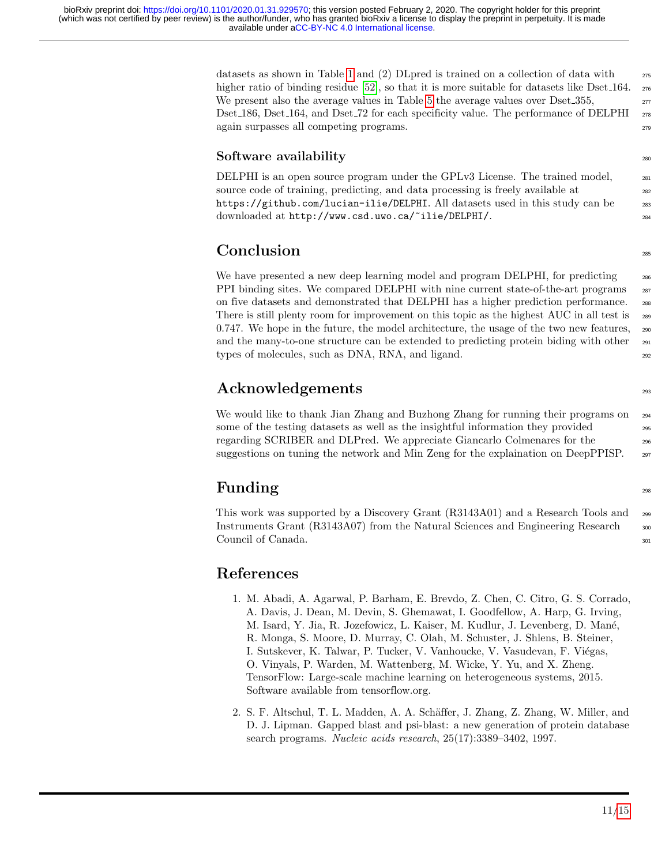datasets as shown in Table [1](#page-2-0) and (2) DLpred is trained on a collection of data with  $\frac{275}{275}$ higher ratio of binding residue [\[52\]](#page-14-2), so that it is more suitable for datasets like Dset 164. <sub>276</sub> We present also the average values in Table [5](#page-9-0) the average values over  $\text{Dset}.355$ , Dset 186, Dset 164, and Dset 72 for each specificity value. The performance of DELPHI 278 again surpasses all competing programs.

## $S$ oftware availability  $\sum_{280}$

DELPHI is an open source program under the GPLv3 License. The trained model,  $_{281}$ source code of training, predicting, and data processing is freely available at  $_{282}$ https://github.com/lucian-ilie/DELPHI. All datasets used in this study can be <sup>283</sup> downloaded at http://www.csd.uwo.ca/~ilie/DELPHI/. 284

# **Conclusion**

We have presented a new deep learning model and program DELPHI, for predicting 286 PPI binding sites. We compared DELPHI with nine current state-of-the-art programs 287 on five datasets and demonstrated that DELPHI has a higher prediction performance. <sup>288</sup> There is still plenty room for improvement on this topic as the highest AUC in all test is  $_{289}$  $0.747$ . We hope in the future, the model architecture, the usage of the two new features,  $_{290}$ and the many-to-one structure can be extended to predicting protein biding with other <sub>291</sub> types of molecules, such as DNA, RNA, and ligand.  $292$ 

# Acknowledgements and the contract of the contract of the contract of the contract of the contract of the contract of the contract of the contract of the contract of the contract of the contract of the contract of the contr

We would like to thank Jian Zhang and Buzhong Zhang for running their programs on  $_{294}$ some of the testing datasets as well as the insightful information they provided 295 regarding SCRIBER and DLPred. We appreciate Giancarlo Colmenares for the <sup>296</sup> suggestions on tuning the network and Min Zeng for the explaination on DeepPPISP. <sub>297</sub>

# Funding 298

This work was supported by a Discovery Grant (R3143A01) and a Research Tools and <sup>299</sup> Instruments Grant (R3143A07) from the Natural Sciences and Engineering Research <sub>300</sub> Council of Canada. 301

# References

- <span id="page-10-1"></span>1. M. Abadi, A. Agarwal, P. Barham, E. Brevdo, Z. Chen, C. Citro, G. S. Corrado, A. Davis, J. Dean, M. Devin, S. Ghemawat, I. Goodfellow, A. Harp, G. Irving, M. Isard, Y. Jia, R. Jozefowicz, L. Kaiser, M. Kudlur, J. Levenberg, D. Man´e, R. Monga, S. Moore, D. Murray, C. Olah, M. Schuster, J. Shlens, B. Steiner, I. Sutskever, K. Talwar, P. Tucker, V. Vanhoucke, V. Vasudevan, F. Viégas, O. Vinyals, P. Warden, M. Wattenberg, M. Wicke, Y. Yu, and X. Zheng. TensorFlow: Large-scale machine learning on heterogeneous systems, 2015. Software available from tensorflow.org.
- <span id="page-10-0"></span>2. S. F. Altschul, T. L. Madden, A. A. Schäffer, J. Zhang, Z. Zhang, W. Miller, and D. J. Lipman. Gapped blast and psi-blast: a new generation of protein database search programs. Nucleic acids research, 25(17):3389–3402, 1997.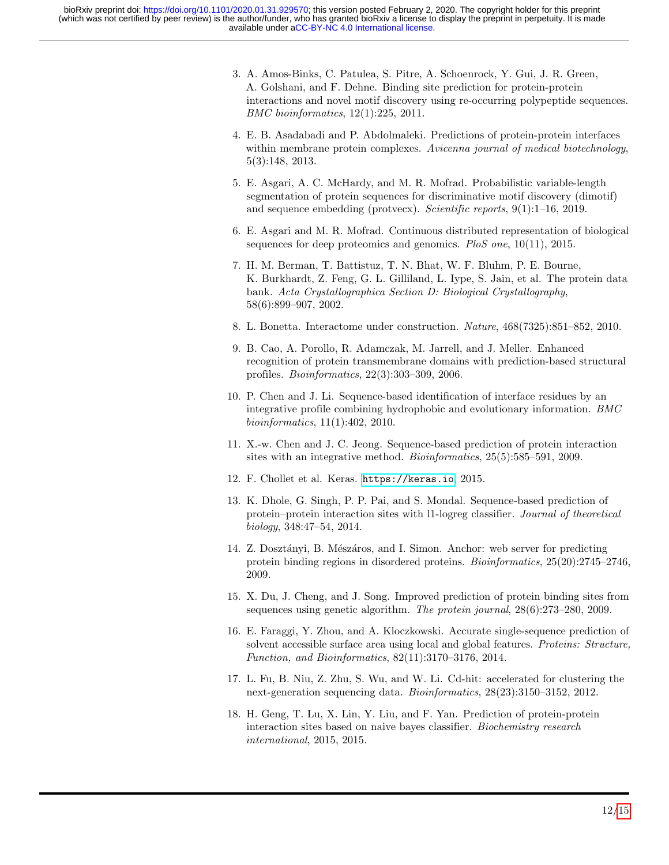- <span id="page-11-2"></span>3. A. Amos-Binks, C. Patulea, S. Pitre, A. Schoenrock, Y. Gui, J. R. Green, A. Golshani, and F. Dehne. Binding site prediction for protein-protein interactions and novel motif discovery using re-occurring polypeptide sequences. BMC bioinformatics, 12(1):225, 2011.
- <span id="page-11-3"></span>4. E. B. Asadabadi and P. Abdolmaleki. Predictions of protein-protein interfaces within membrane protein complexes. Avicenna journal of medical biotechnology, 5(3):148, 2013.
- <span id="page-11-8"></span>5. E. Asgari, A. C. McHardy, and M. R. Mofrad. Probabilistic variable-length segmentation of protein sequences for discriminative motif discovery (dimotif) and sequence embedding (protvecx). Scientific reports, 9(1):1–16, 2019.
- <span id="page-11-9"></span>6. E. Asgari and M. R. Mofrad. Continuous distributed representation of biological sequences for deep proteomics and genomics. PloS one, 10(11), 2015.
- <span id="page-11-1"></span>7. H. M. Berman, T. Battistuz, T. N. Bhat, W. F. Bluhm, P. E. Bourne, K. Burkhardt, Z. Feng, G. L. Gilliland, L. Iype, S. Jain, et al. The protein data bank. Acta Crystallographica Section D: Biological Crystallography, 58(6):899–907, 2002.
- <span id="page-11-0"></span>8. L. Bonetta. Interactome under construction. Nature, 468(7325):851–852, 2010.
- <span id="page-11-4"></span>9. B. Cao, A. Porollo, R. Adamczak, M. Jarrell, and J. Meller. Enhanced recognition of protein transmembrane domains with prediction-based structural profiles. Bioinformatics, 22(3):303–309, 2006.
- 10. P. Chen and J. Li. Sequence-based identification of interface residues by an integrative profile combining hydrophobic and evolutionary information. BMC bioinformatics, 11(1):402, 2010.
- <span id="page-11-5"></span>11. X.-w. Chen and J. C. Jeong. Sequence-based prediction of protein interaction sites with an integrative method. *Bioinformatics*,  $25(5)$ :585–591, 2009.
- <span id="page-11-14"></span>12. F. Chollet et al. Keras. <https://keras.io>, 2015.
- <span id="page-11-11"></span>13. K. Dhole, G. Singh, P. P. Pai, and S. Mondal. Sequence-based prediction of protein–protein interaction sites with l1-logreg classifier. Journal of theoretical biology, 348:47–54, 2014.
- <span id="page-11-13"></span>14. Z. Dosztányi, B. Mészáros, and I. Simon. Anchor: web server for predicting protein binding regions in disordered proteins. Bioinformatics, 25(20):2745–2746, 2009.
- <span id="page-11-6"></span>15. X. Du, J. Cheng, and J. Song. Improved prediction of protein binding sites from sequences using genetic algorithm. The protein journal, 28(6):273–280, 2009.
- <span id="page-11-12"></span>16. E. Faraggi, Y. Zhou, and A. Kloczkowski. Accurate single-sequence prediction of solvent accessible surface area using local and global features. Proteins: Structure, Function, and Bioinformatics, 82(11):3170–3176, 2014.
- <span id="page-11-10"></span>17. L. Fu, B. Niu, Z. Zhu, S. Wu, and W. Li. Cd-hit: accelerated for clustering the next-generation sequencing data. Bioinformatics, 28(23):3150–3152, 2012.
- <span id="page-11-7"></span>18. H. Geng, T. Lu, X. Lin, Y. Liu, and F. Yan. Prediction of protein-protein interaction sites based on naive bayes classifier. Biochemistry research international, 2015, 2015.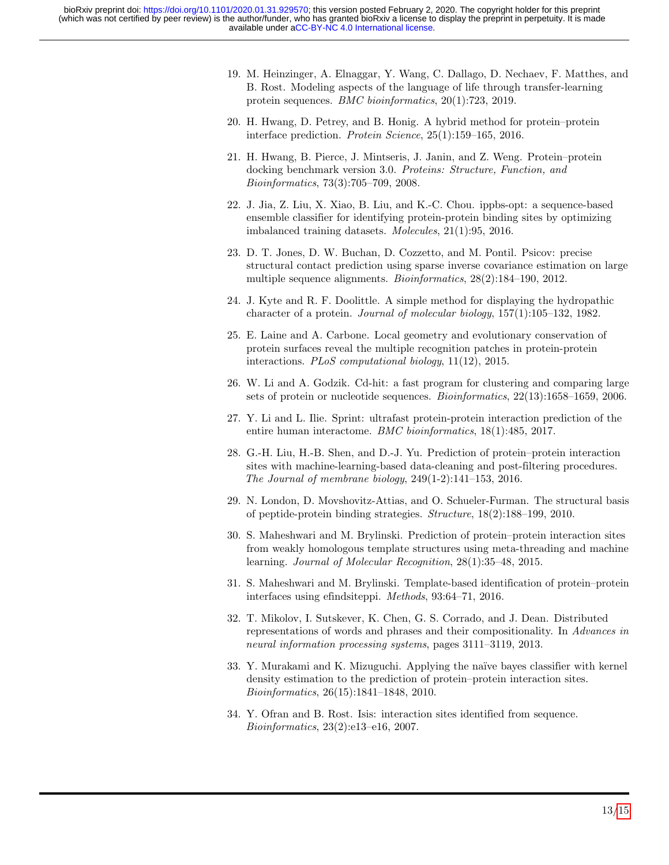- <span id="page-12-9"></span>19. M. Heinzinger, A. Elnaggar, Y. Wang, C. Dallago, D. Nechaev, F. Matthes, and B. Rost. Modeling aspects of the language of life through transfer-learning protein sequences. BMC bioinformatics, 20(1):723, 2019.
- <span id="page-12-0"></span>20. H. Hwang, D. Petrey, and B. Honig. A hybrid method for protein–protein interface prediction. Protein Science, 25(1):159–165, 2016.
- <span id="page-12-11"></span>21. H. Hwang, B. Pierce, J. Mintseris, J. Janin, and Z. Weng. Protein–protein docking benchmark version 3.0. Proteins: Structure, Function, and Bioinformatics, 73(3):705–709, 2008.
- <span id="page-12-1"></span>22. J. Jia, Z. Liu, X. Xiao, B. Liu, and K.-C. Chou. ippbs-opt: a sequence-based ensemble classifier for identifying protein-protein binding sites by optimizing imbalanced training datasets. Molecules, 21(1):95, 2016.
- <span id="page-12-2"></span>23. D. T. Jones, D. W. Buchan, D. Cozzetto, and M. Pontil. Psicov: precise structural contact prediction using sparse inverse covariance estimation on large multiple sequence alignments. Bioinformatics, 28(2):184–190, 2012.
- <span id="page-12-13"></span>24. J. Kyte and R. F. Doolittle. A simple method for displaying the hydropathic character of a protein. Journal of molecular biology, 157(1):105–132, 1982.
- <span id="page-12-3"></span>25. E. Laine and A. Carbone. Local geometry and evolutionary conservation of protein surfaces reveal the multiple recognition patches in protein-protein interactions. PLoS computational biology, 11(12), 2015.
- <span id="page-12-10"></span>26. W. Li and A. Godzik. Cd-hit: a fast program for clustering and comparing large sets of protein or nucleotide sequences. Bioinformatics, 22(13):1658–1659, 2006.
- <span id="page-12-8"></span>27. Y. Li and L. Ilie. Sprint: ultrafast protein-protein interaction prediction of the entire human interactome. BMC bioinformatics, 18(1):485, 2017.
- <span id="page-12-4"></span>28. G.-H. Liu, H.-B. Shen, and D.-J. Yu. Prediction of protein–protein interaction sites with machine-learning-based data-cleaning and post-filtering procedures. The Journal of membrane biology, 249(1-2):141–153, 2016.
- 29. N. London, D. Movshovitz-Attias, and O. Schueler-Furman. The structural basis of peptide-protein binding strategies. Structure, 18(2):188–199, 2010.
- 30. S. Maheshwari and M. Brylinski. Prediction of protein–protein interaction sites from weakly homologous template structures using meta-threading and machine learning. Journal of Molecular Recognition, 28(1):35–48, 2015.
- <span id="page-12-5"></span>31. S. Maheshwari and M. Brylinski. Template-based identification of protein–protein interfaces using efindsiteppi. Methods, 93:64–71, 2016.
- <span id="page-12-12"></span>32. T. Mikolov, I. Sutskever, K. Chen, G. S. Corrado, and J. Dean. Distributed representations of words and phrases and their compositionality. In Advances in neural information processing systems, pages 3111–3119, 2013.
- <span id="page-12-6"></span>33. Y. Murakami and K. Mizuguchi. Applying the na¨ıve bayes classifier with kernel density estimation to the prediction of protein–protein interaction sites. Bioinformatics, 26(15):1841–1848, 2010.
- <span id="page-12-7"></span>34. Y. Ofran and B. Rost. Isis: interaction sites identified from sequence. Bioinformatics, 23(2):e13–e16, 2007.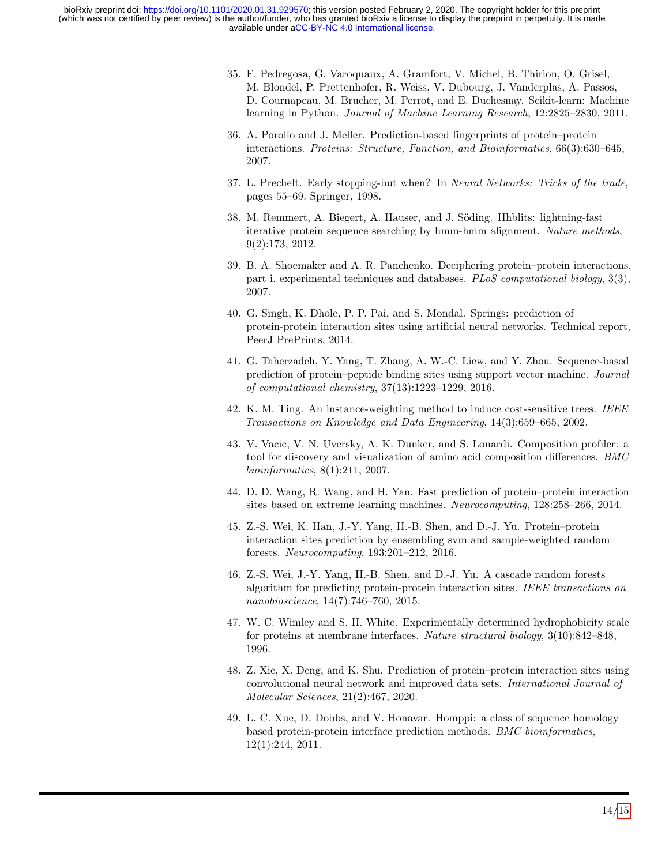- <span id="page-13-14"></span>35. F. Pedregosa, G. Varoquaux, A. Gramfort, V. Michel, B. Thirion, O. Grisel, M. Blondel, P. Prettenhofer, R. Weiss, V. Dubourg, J. Vanderplas, A. Passos, D. Cournapeau, M. Brucher, M. Perrot, and E. Duchesnay. Scikit-learn: Machine learning in Python. Journal of Machine Learning Research, 12:2825–2830, 2011.
- <span id="page-13-13"></span>36. A. Porollo and J. Meller. Prediction-based fingerprints of protein–protein interactions. Proteins: Structure, Function, and Bioinformatics, 66(3):630–645, 2007.
- <span id="page-13-10"></span>37. L. Prechelt. Early stopping-but when? In Neural Networks: Tricks of the trade, pages 55–69. Springer, 1998.
- <span id="page-13-6"></span>38. M. Remmert, A. Biegert, A. Hauser, and J. Söding. Hhblits: lightning-fast iterative protein sequence searching by hmm-hmm alignment. Nature methods, 9(2):173, 2012.
- <span id="page-13-0"></span>39. B. A. Shoemaker and A. R. Panchenko. Deciphering protein–protein interactions. part i. experimental techniques and databases. PLoS computational biology, 3(3), 2007.
- <span id="page-13-1"></span>40. G. Singh, K. Dhole, P. P. Pai, and S. Mondal. Springs: prediction of protein-protein interaction sites using artificial neural networks. Technical report, PeerJ PrePrints, 2014.
- <span id="page-13-11"></span>41. G. Taherzadeh, Y. Yang, T. Zhang, A. W.-C. Liew, and Y. Zhou. Sequence-based prediction of protein–peptide binding sites using support vector machine. Journal of computational chemistry, 37(13):1223–1229, 2016.
- <span id="page-13-9"></span>42. K. M. Ting. An instance-weighting method to induce cost-sensitive trees. IEEE Transactions on Knowledge and Data Engineering, 14(3):659–665, 2002.
- <span id="page-13-7"></span>43. V. Vacic, V. N. Uversky, A. K. Dunker, and S. Lonardi. Composition profiler: a tool for discovery and visualization of amino acid composition differences. BMC bioinformatics, 8(1):211, 2007.
- <span id="page-13-2"></span>44. D. D. Wang, R. Wang, and H. Yan. Fast prediction of protein–protein interaction sites based on extreme learning machines. Neurocomputing, 128:258–266, 2014.
- <span id="page-13-3"></span>45. Z.-S. Wei, K. Han, J.-Y. Yang, H.-B. Shen, and D.-J. Yu. Protein–protein interaction sites prediction by ensembling svm and sample-weighted random forests. Neurocomputing, 193:201–212, 2016.
- <span id="page-13-12"></span>46. Z.-S. Wei, J.-Y. Yang, H.-B. Shen, and D.-J. Yu. A cascade random forests algorithm for predicting protein-protein interaction sites. IEEE transactions on nanobioscience, 14(7):746–760, 2015.
- <span id="page-13-8"></span>47. W. C. Wimley and S. H. White. Experimentally determined hydrophobicity scale for proteins at membrane interfaces. Nature structural biology, 3(10):842–848, 1996.
- <span id="page-13-4"></span>48. Z. Xie, X. Deng, and K. Shu. Prediction of protein–protein interaction sites using convolutional neural network and improved data sets. International Journal of Molecular Sciences, 21(2):467, 2020.
- <span id="page-13-5"></span>49. L. C. Xue, D. Dobbs, and V. Honavar. Homppi: a class of sequence homology based protein-protein interface prediction methods. BMC bioinformatics, 12(1):244, 2011.